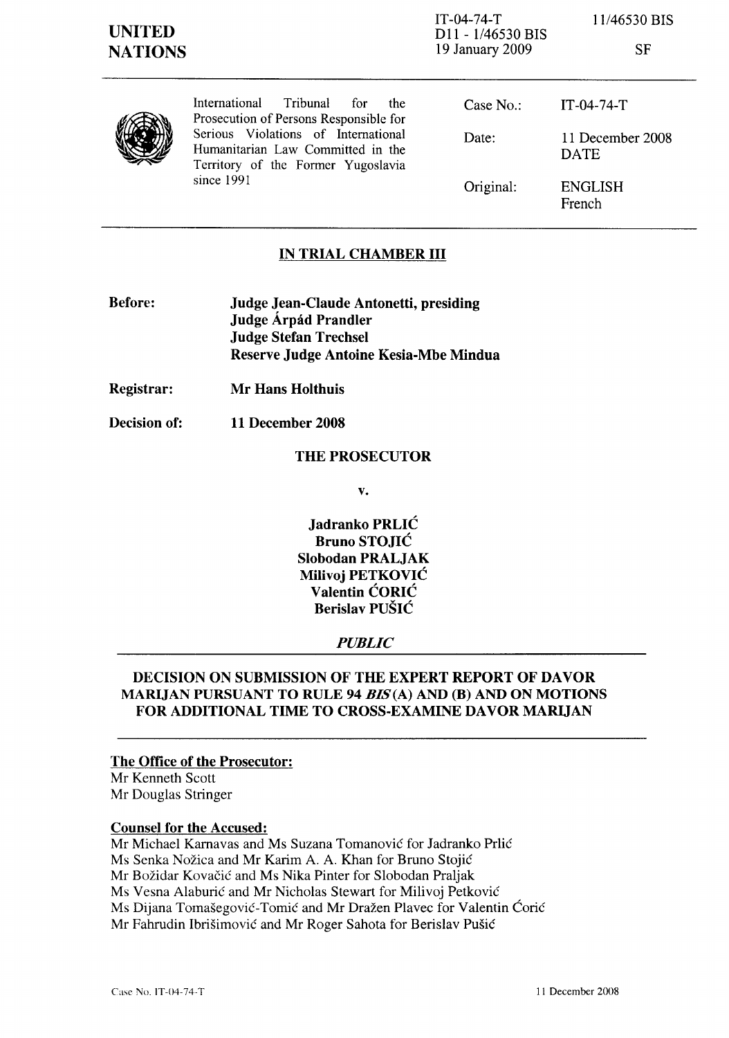IT-04-74-T Dll - 1/46530 BIS 19 January 2009

11/46530 BIS

| ×<br>×<br>I |
|-------------|
|             |

| V |
|---|
|---|

International Tribunal for the Prosecution of Persons Responsible for Serious Violations of International Humanitarian Law Committed in the Territory of the Former Yugoslavia since 1991

Case No.: Date: Original: IT-04-74-T 11 December 2008 DATE ENGLISH French

### IN TRIAL CHAMBER III

- Before: Judge Jean-Claude Antonetti, presiding Judge Árpád Prandler Judge Stefan Trechsel Reserve Judge Antoine Kesia-Mbe Mindua
- Registrar: Mr Hans Holthuis
- Decision of: 11 December 2008

### THE PROSECUTOR

v.

Jadranko PRLIC Bruno STOJIC Slobodan PRALJAK Milivoj PETKOVIC Valentin CORIC Berislav PUSIC

#### *PUBLIC*

### DECISION ON SUBMISSION OF THE EXPERT REPORT OF DAVOR MARIJAN PURSUANT TO RULE 94 *BIS(A)* AND (B) AND ON MOTIONS FOR ADDITIONAL TIME TO CROSS-EXAMINE DAVOR MARUAN

## The Office of the Prosecutor:

Mr Kenneth Scott Mr Douglas Stringer

#### Counsel for the Accused:

Mr Michael Karnavas and Ms Suzana Tomanovic for Jadranko Prlic Ms Senka Nozica and Mr Karim A. A. Khan for Bruno Stojic Mr Bozidar Kovacic and Ms Nika Pinter for Slobodan Pra1jak Ms Vesna Alaburic and Mr Nicholas Stewart for Milivoj Petkovic Ms Dijana Tomasegovic-Tomic and Mr Drazen PIavec for Valentin Coric Mr Fahrudin Ibrisimovic and Mr Roger Sahota for Berislav Pusic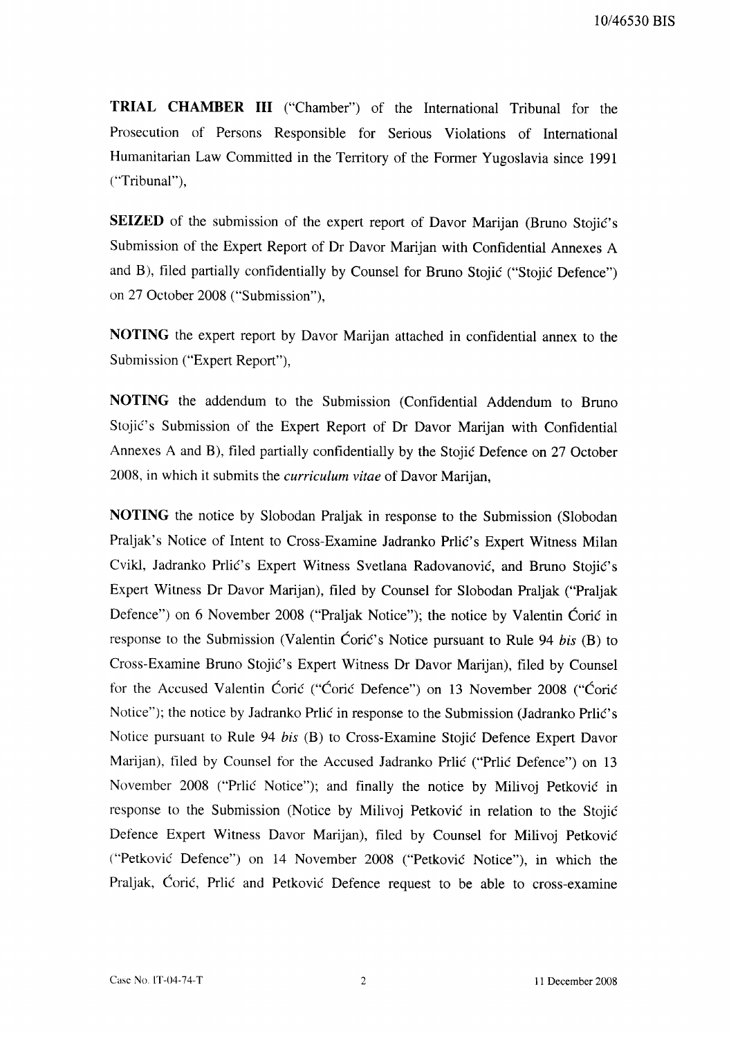**TRIAL CHAMBER III** ("Chamber") of the International Tribunal for the Prosecution of Persons Responsible for Serious Violations of International Humanitarian Law Committed in the Territory of the Former Yugoslavia since 1991 ("Tribunal"),

SEIZED of the submission of the expert report of Davor Marijan (Bruno Stojić's Submission of the Expert Report of Dr Davor Marijan with Confidential Annexes A and B), filed partially confidentially by Counsel for Bruno Stojić ("Stojić Defence") on 27 October 2008 ("Submission"),

**NOTING** the expert report by Davor Marijan attached in confidential annex to the Submission ("Expert Report"),

**NOTING** the addendum to the Submission (Confidential Addendum to Bruno Stojić's Submission of the Expert Report of Dr Davor Marijan with Confidential Annexes A and B), filed partially confidentially by the Stojić Defence on 27 October 2008, in which it submits the *curriculum vitae* of Davor Marijan,

NOTING the notice by Slobodan Praljak in response to the Submission (Slobodan Praljak's Notice of Intent to Cross-Examine Jadranko Prlić's Expert Witness Milan Cvikl, Jadranko Prlić's Expert Witness Svetlana Radovanović, and Bruno Stojić's Expert Witness Dr Davor Marijan), filed by Counsel for Slobodan Praljak ("Praljak Defence") on 6 November 2008 ("Praljak Notice"); the notice by Valentin Ćorić in response to the Submission (Valentin Coric's Notice pursuant to Rule 94 bis (B) to Cross-Examine Bruno Stojić's Expert Witness Dr Davor Marijan), filed by Counsel for the Accused Valentin Ćorić ("Ćorić Defence") on 13 November 2008 ("Ćorić Notice"); the notice by Jadranko Prlić in response to the Submission (Jadranko Prlić's Notice pursuant to Rule 94 bis (B) to Cross-Examine Stojić Defence Expert Davor Marijan), filed by Counsel for the Accused Jadranko Prlić ("Prlić Defence") on 13 November 2008 ("Prlić Notice"); and finally the notice by Milivoj Petković in response to the Submission (Notice by Milivoj Petković in relation to the Stojić Defence Expert Witness Davor Marijan), filed by Counsel for Milivoj Petković ("Petković Defence") on 14 November 2008 ("Petković Notice"), in which the Praljak, Corić, Prlić and Petković Defence request to be able to cross-examine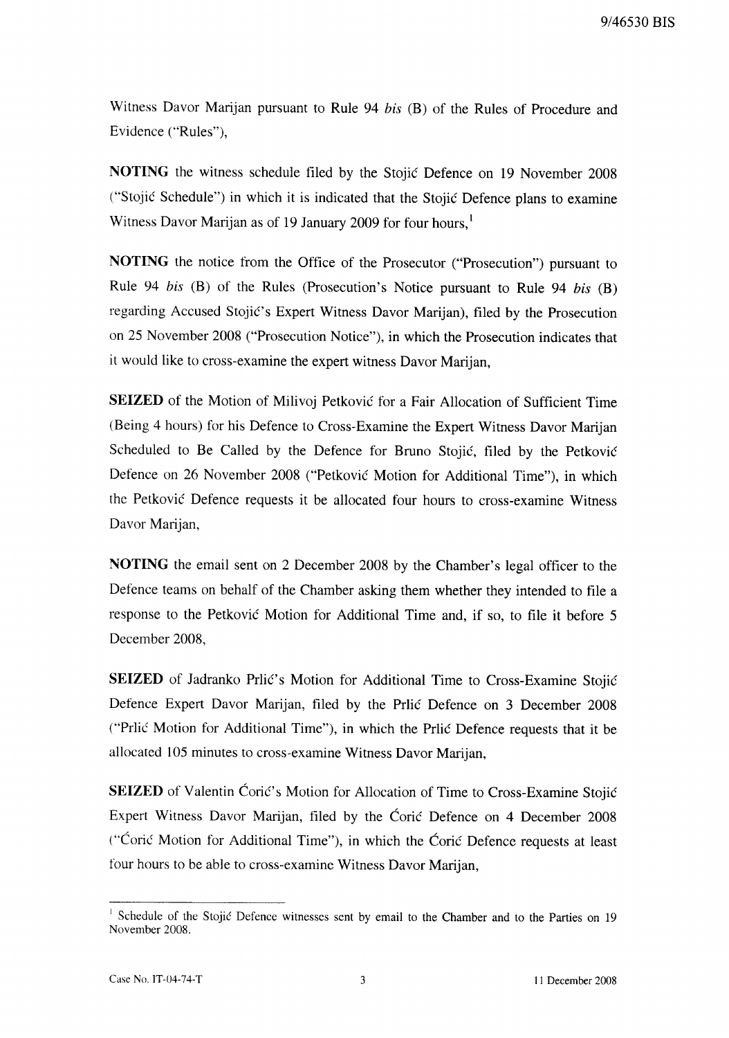9/46530 BIS

Witness Davor Marijan pursuant to Rule 94 bis (B) of the Rules of Procedure and Evidence ("Rules"),

NOTING the witness schedule filed by the Stojić Defence on 19 November 2008 ("Stojić Schedule") in which it is indicated that the Stojić Defence plans to examine Witness Davor Marijan as of 19 January 2009 for four hours,<sup>1</sup>

NOTING the notice from the Office of the Prosecutor ("Prosecution") pursuant to Rule 94 bis (B) of the Rules (Prosecution's Notice pursuant to Rule 94 bis (B) regarding Accused Stojić's Expert Witness Davor Marijan), filed by the Prosecution on 25 November 2008 ("Prosecution Notice"), in which the Prosecution indicates that it would like to cross-examine the expert witness Davor Marijan,

SEIZED of the Motion of Milivoj Petković for a Fair Allocation of Sufficient Time (Being 4 hours) for his Defence to Cross-Examine the Expert Witness Davor Marijan Scheduled to Be Called by the Defence for Bruno Stojić, filed by the Petković Defence on 26 November 2008 ("Petković Motion for Additional Time"), in which the Petković Defence requests it be allocated four hours to cross-examine Witness Davor Marijan,

NOTING the email sent on 2 December 2008 by the Chamber's legal officer to the Defence teams on behalf of the Chamber asking them whether they intended to file a response to the Petković Motion for Additional Time and, if so, to file it before 5 December 2008.

SEIZED of Jadranko Prlić's Motion for Additional Time to Cross-Examine Stojić Defence Expert Davor Marijan, filed by the Prlic Defence on 3 December 2008 ("Prlić Motion for Additional Time"), in which the Prlić Defence requests that it be allocated 105 minutes to cross-examine Witness Davor Marijan,

SEIZED of Valentin Ćorić's Motion for Allocation of Time to Cross-Examine Stojić Expert Witness Davor Marijan, filed by the Ćorić Defence on 4 December 2008 ("Coric Motion for Additional Time"), in which the Coric Defence requests at least four hours to be able to cross-examine Witness Davor Marijan,

<sup>&</sup>lt;sup>1</sup> Schedule of the Stojić Defence witnesses sent by email to the Chamber and to the Parties on 19 November 2008.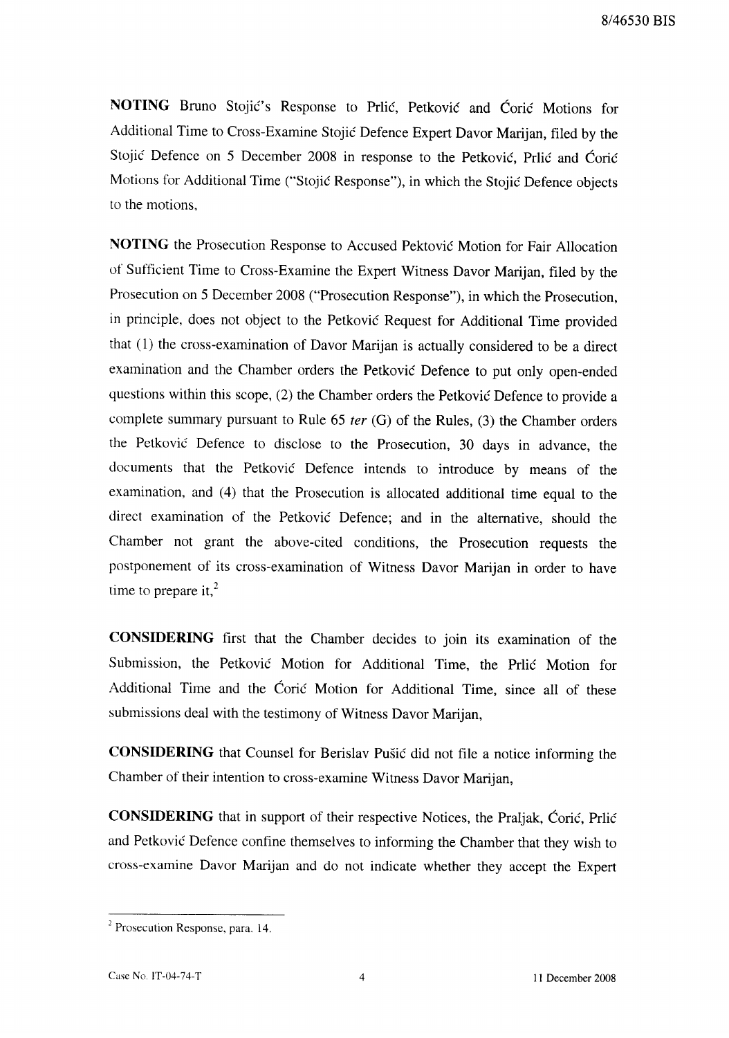NOTING Bruno Stojić's Response to Prlić, Petković and Ćorić Motions for Additional Time to Cross-Examine Stojić Defence Expert Davor Marijan, filed by the Stojić Defence on 5 December 2008 in response to the Petković, Prlić and Ćorić Motions for Additional Time ("Stojić Response"), in which the Stojić Defence objects to the motions.

NOTING the Prosecution Response to Accused Pektović Motion for Fair Allocation of Sufficient Time to Cross-Examine the Expert Witness Davor Marijan, filed by the Prosecution on 5 December 2008 ("Prosecution Response"), in which the Prosecution, in principle, does not object to the Petković Request for Additional Time provided that (1) the cross-examination of Davor Marijan is actually considered to be a direct examination and the Chamber orders the Petković Defence to put only open-ended questions within this scope, (2) the Chamber orders the Petković Defence to provide a complete summary pursuant to Rule 65 *ter* (G) of the Rules, (3) the Chamber orders the Petković Defence to disclose to the Prosecution, 30 days in advance, the documents that the Petković Defence intends to introduce by means of the examination, and (4) that the Prosecution is allocated additional time equal to the direct examination of the Petković Defence; and in the alternative, should the Chamber not grant the above-cited conditions, the Prosecution requests the postponement of its cross-examination of Witness Davor Marijan in order to have time to prepare it, $^{2}$ 

CONSIDERING first that the Chamber decides to join its examination of the Submission, the Petković Motion for Additional Time, the Prilic Motion for Additional Time and the Coric Motion for Additional Time, since all of these submissions deal with the testimony of Witness Davor Marijan,

CONSIDERING that Counsel for Berislav Pušić did not file a notice informing the Chamber of their intention to cross-examine Witness Davor Marijan,

**CONSIDERING** that in support of their respective Notices, the Praljak, Coric, Prlic and Petković Defence confine themselves to informing the Chamber that they wish to cross-examine Davor Marijan and do not indicate whether they accept the Expert

<sup>&</sup>lt;sup>2</sup> Prosecution Response, para. 14.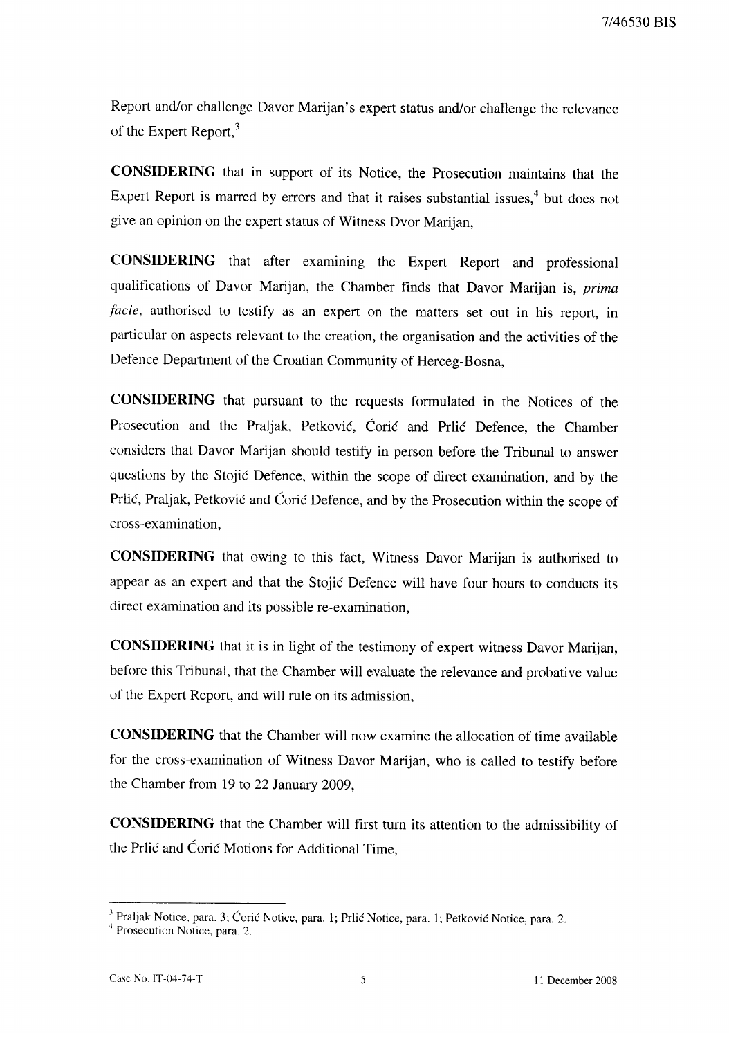7/46530 BIS

Report and/or challenge Davor Marijan's expert status and/or challenge the relevance of the Expert Report,<sup>3</sup>

CONSIDERING that in support of its Notice, the Prosecution maintains that the Expert Report is marred by errors and that it raises substantial issues,<sup>4</sup> but does not give an opinion on the expert status of Witness Dvor Marijan,

**CONSIDERING** that after examining the Expert Report and professional qualifications of Davor Marijan, the Chamber finds that Davor Marijan is, prima facie, authorised to testify as an expert on the matters set out in his report, in particular on aspects relevant to the creation, the organisation and the activities of the Defence Department of the Croatian Community of Herceg-Bosna,

**CONSIDERING** that pursuant to the requests formulated in the Notices of the Prosecution and the Praljak, Petković, Ćorić and Prlić Defence, the Chamber considers that Davor Marijan should testify in person before the Tribunal to answer questions by the Stojić Defence, within the scope of direct examination, and by the Prlić, Praljak, Petković and Ćorić Defence, and by the Prosecution within the scope of cross-examination.

CONSIDERING that owing to this fact, Witness Davor Marijan is authorised to appear as an expert and that the Stojić Defence will have four hours to conducts its direct examination and its possible re-examination,

**CONSIDERING** that it is in light of the testimony of expert witness Davor Marijan, before this Tribunal, that the Chamber will evaluate the relevance and probative value of the Expert Report, and will rule on its admission,

**CONSIDERING** that the Chamber will now examine the allocation of time available for the cross-examination of Witness Davor Marijan, who is called to testify before the Chamber from 19 to 22 January 2009,

**CONSIDERING** that the Chamber will first turn its attention to the admissibility of the Prlić and Ćorić Motions for Additional Time,

<sup>&</sup>lt;sup>3</sup> Praljak Notice, para. 3; Ćorić Notice, para. 1; Prlić Notice, para. 1; Petković Notice, para. 2.

<sup>&</sup>lt;sup>4</sup> Prosecution Notice, para. 2.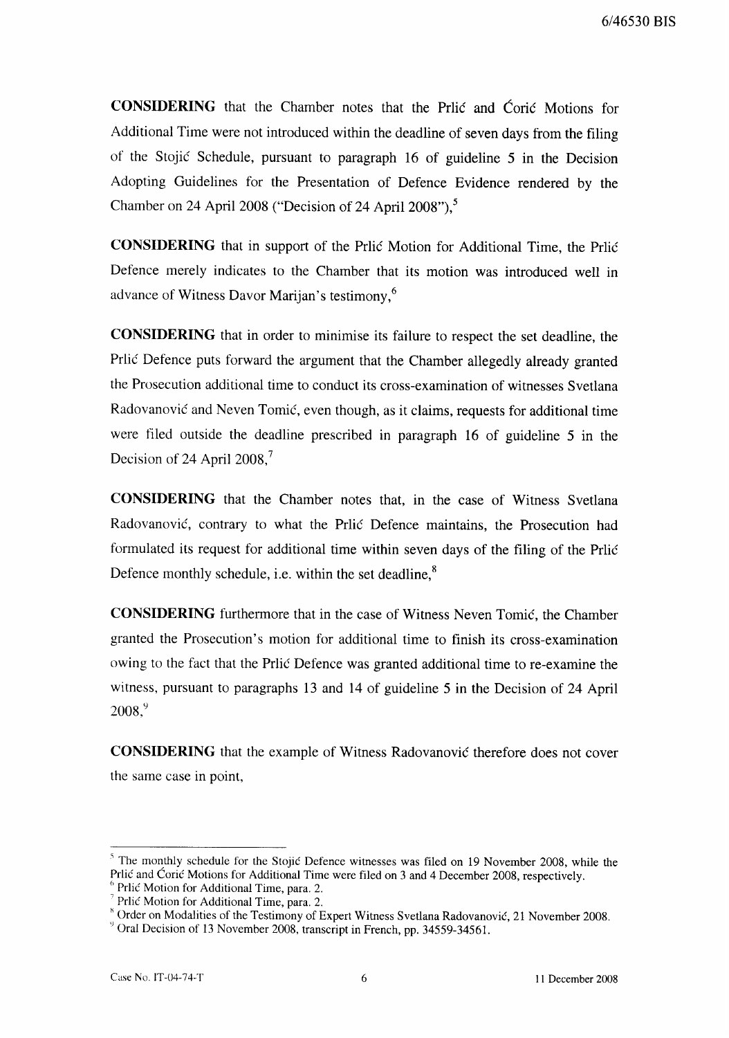**CONSIDERING** that the Chamber notes that the Prilo and Corio Motions for Additional Time were not introduced within the deadline of seven days from the filing of the Stojić Schedule, pursuant to paragraph 16 of guideline 5 in the Decision Adopting Guidelines for the Presentation of Defence Evidence rendered by the Chamber on 24 April 2008 ("Decision of 24 April 2008"),<sup>5</sup>

CONSIDERING that in support of the Prlić Motion for Additional Time, the Prlić Defence merely indicates to the Chamber that its motion was introduced well in advance of Witness Davor Marijan's testimony,<sup>6</sup>

CONSIDERING that in order to minimise its failure to respect the set deadline, the Prlić Defence puts forward the argument that the Chamber allegedly already granted the Prosecution additional time to conduct its cross-examination of witnesses Svetlana Radovanović and Neven Tomić, even though, as it claims, requests for additional time were filed outside the deadline prescribed in paragraph 16 of guideline 5 in the Decision of 24 April 2008, $^7$ 

CONSIDERING that the Chamber notes that, in the case of Witness Svetlana Radovanović, contrary to what the Prlić Defence maintains, the Prosecution had formulated its request for additional time within seven days of the filing of the Prlić Defence monthly schedule, *i.e.* within the set deadline,<sup>8</sup>

**CONSIDERING** furthermore that in the case of Witness Neven Tomic, the Chamber granted the Prosecution's motion for additional time to finish its cross-examination owing to the fact that the Prlić Defence was granted additional time to re-examine the witness, pursuant to paragraphs 13 and 14 of guideline 5 in the Decision of 24 April  $2008.<sup>9</sup>$ 

**CONSIDERING** that the example of Witness Radovanović therefore does not cover the same case in point,

<sup>&</sup>lt;sup>5</sup> The monthly schedule for the Stojić Defence witnesses was filed on 19 November 2008, while the Prlić and Ćorić Motions for Additional Time were filed on 3 and 4 December 2008, respectively. <sup>6</sup> Prlić Motion for Additional Time, para. 2.

Prlić Motion for Additional Time, para. 2.

<sup>&</sup>lt;sup>8</sup> Order on Modalities of the Testimony of Expert Witness Svetlana Radovanović, 21 November 2008.

<sup>&</sup>lt;sup>9</sup> Oral Decision of 13 November 2008, transcript in French, pp. 34559-34561.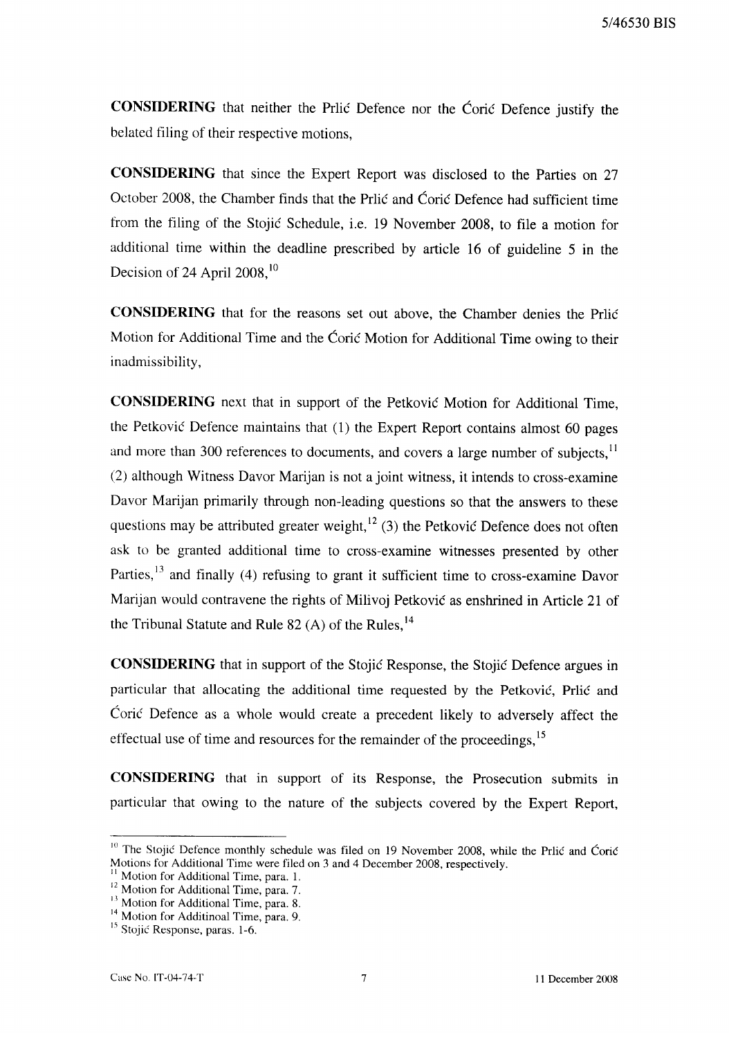CONSIDERING that neither the Prlić Defence nor the Ćorić Defence justify the belated filing of their respective motions,

**CONSIDERING** that since the Expert Report was disclosed to the Parties on 27 October 2008, the Chamber finds that the Priic and Coric Defence had sufficient time from the filing of the Stojić Schedule, i.e. 19 November 2008, to file a motion for additional time within the deadline prescribed by article 16 of guideline 5 in the Decision of 24 April  $2008$ ,<sup>10</sup>

**CONSIDERING** that for the reasons set out above, the Chamber denies the Prlic Motion for Additional Time and the Coric Motion for Additional Time owing to their inadmissibility,

**CONSIDERING** next that in support of the Petković Motion for Additional Time, the Petković Defence maintains that (1) the Expert Report contains almost 60 pages and more than 300 references to documents, and covers a large number of subjects,<sup>11</sup> (2) although Witness Davor Marijan is not a joint witness, it intends to cross-examine Davor Marijan primarily through non-leading questions so that the answers to these questions may be attributed greater weight,  $^{12}$  (3) the Petković Defence does not often ask to be granted additional time to cross-examine witnesses presented by other Parties,<sup>13</sup> and finally (4) refusing to grant it sufficient time to cross-examine Davor Marijan would contravene the rights of Milivoj Petković as enshrined in Article 21 of the Tribunal Statute and Rule 82 (A) of the Rules,  $^{14}$ 

**CONSIDERING** that in support of the Stojić Response, the Stojić Defence argues in particular that allocating the additional time requested by the Petković, Prlić and Ćorić Defence as a whole would create a precedent likely to adversely affect the effectual use of time and resources for the remainder of the proceedings,<sup>15</sup>

**CONSIDERING** that in support of its Response, the Prosecution submits in particular that owing to the nature of the subjects covered by the Expert Report,

<sup>&</sup>lt;sup>10</sup> The Stojić Defence monthly schedule was filed on 19 November 2008, while the Prlić and Ćorić Motions for Additional Time were filed on 3 and 4 December 2008, respectively.

Motion for Additional Time, para. 1.

<sup>&</sup>lt;sup>12</sup> Motion for Additional Time, para. 7.

<sup>&</sup>lt;sup>13</sup> Motion for Additional Time, para. 8.

<sup>&</sup>lt;sup>14</sup> Motion for Additinoal Time, para. 9.

<sup>&</sup>lt;sup>15</sup> Stojić Response, paras. 1-6.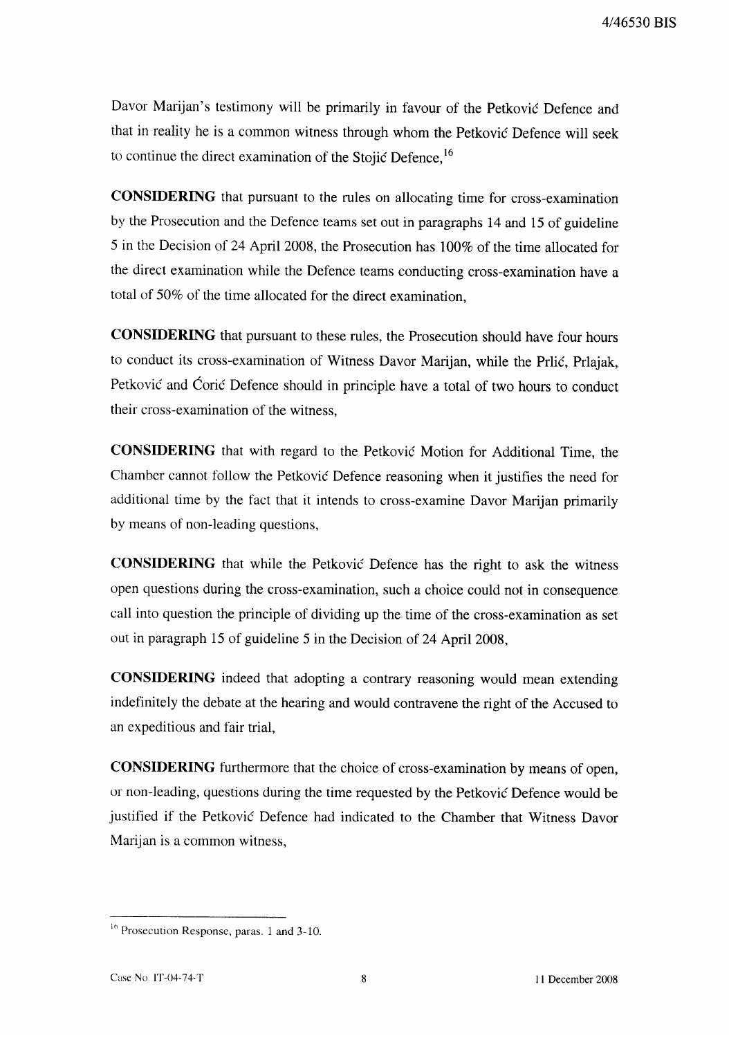Davor Marijan's testimony will be primarily in favour of the Petković Defence and that in reality he is a common witness through whom the Petković Defence will seek to continue the direct examination of the Stojić Defence.<sup>16</sup>

**CONSIDERING** that pursuant to the rules on allocating time for cross-examination by the Prosecution and the Defence teams set out in paragraphs 14 and 15 of guideline 5 in the Decision of 24 April 2008, the Prosecution has 100% of the time allocated for the direct examination while the Defence teams conducting cross-examination have a total of 50% of the time allocated for the direct examination,

**CONSIDERING** that pursuant to these rules, the Prosecution should have four hours to conduct its cross-examination of Witness Davor Marijan, while the Prlić, Prlajak, Petković and Ćorić Defence should in principle have a total of two hours to conduct their cross-examination of the witness.

CONSIDERING that with regard to the Petković Motion for Additional Time, the Chamber cannot follow the Petković Defence reasoning when it justifies the need for additional time by the fact that it intends to cross-examine Davor Marijan primarily by means of non-leading questions,

**CONSIDERING** that while the Petković Defence has the right to ask the witness open questions during the cross-examination, such a choice could not in consequence call into question the principle of dividing up the time of the cross-examination as set out in paragraph 15 of guideline 5 in the Decision of 24 April 2008,

**CONSIDERING** indeed that adopting a contrary reasoning would mean extending indefinitely the debate at the hearing and would contravene the right of the Accused to an expeditious and fair trial,

**CONSIDERING** furthermore that the choice of cross-examination by means of open, or non-leading, questions during the time requested by the Petković Defence would be justified if the Petković Defence had indicated to the Chamber that Witness Davor Marijan is a common witness,

<sup>&</sup>lt;sup>16</sup> Prosecution Response, paras. 1 and 3-10.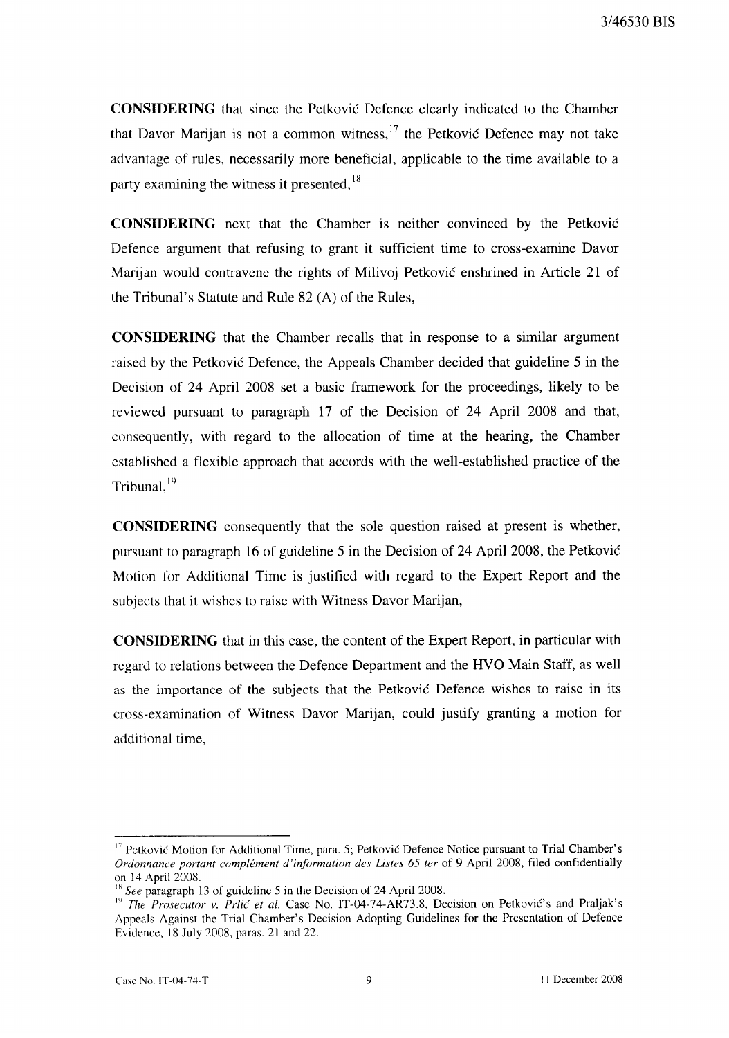**CONSIDERING** that since the Petković Defence clearly indicated to the Chamber that Davor Marijan is not a common witness,  $17$  the Petković Defence may not take advantage of rules, necessarily more beneficial, applicable to the time available to a party examining the witness it presented,<sup>18</sup>

**CONSIDERING** next that the Chamber is neither convinced by the Petković Defence argument that refusing to grant it sufficient time to cross-examine Davor Marijan would contravene the rights of Milivoj Petković enshrined in Article 21 of the Tribunal's Statute and Rule 82 (A) of the Rules,

**CONSIDERING** that the Chamber recalls that in response to a similar argument raised by the Petković Defence, the Appeals Chamber decided that guideline 5 in the Decision of 24 April 2008 set a basic framework for the proceedings, likely to be reviewed pursuant to paragraph 17 of the Decision of 24 April 2008 and that, consequently, with regard to the allocation of time at the hearing, the Chamber established a flexible approach that accords with the well-established practice of the Tribunal,<sup>19</sup>

**CONSIDERING** consequently that the sole question raised at present is whether, pursuant to paragraph 16 of guideline 5 in the Decision of 24 April 2008, the Petković Motion for Additional Time is justified with regard to the Expert Report and the subjects that it wishes to raise with Witness Davor Marijan,

**CONSIDERING** that in this case, the content of the Expert Report, in particular with regard to relations between the Defence Department and the HVO Main Staff, as well as the importance of the subjects that the Petković Defence wishes to raise in its cross-examination of Witness Davor Marijan, could justify granting a motion for additional time,

<sup>&</sup>lt;sup>17</sup> Petković Motion for Additional Time, para. 5; Petković Defence Notice pursuant to Trial Chamber's Ordonnance portant complément d'information des Listes 65 ter of 9 April 2008, filed confidentially on 14 April 2008.

<sup>&</sup>lt;sup>18</sup> See paragraph 13 of guideline 5 in the Decision of 24 April 2008.

<sup>&</sup>lt;sup>19</sup> The Prosecutor v. Prlić et al, Case No. IT-04-74-AR73.8, Decision on Petković's and Praljak's Appeals Against the Trial Chamber's Decision Adopting Guidelines for the Presentation of Defence Evidence, 18 July 2008, paras. 21 and 22.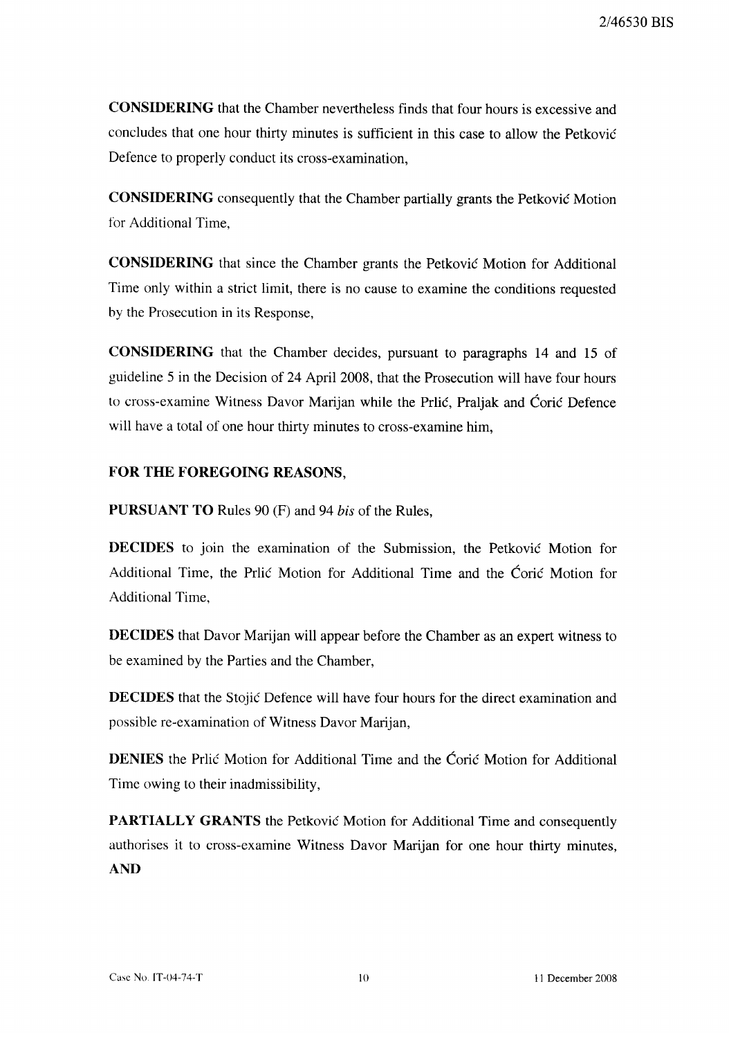**CONSIDERING** that the Chamber nevertheless finds that four hours is excessive and concludes that one hour thirty minutes is sufficient in this case to allow the Petković Defence to properly conduct its cross-examination,

**CONSIDERING** consequently that the Chamber partially grants the Petković Motion for Additional Time.

**CONSIDERING** that since the Chamber grants the Petković Motion for Additional Time only within a strict limit, there is no cause to examine the conditions requested by the Prosecution in its Response,

CONSIDERING that the Chamber decides, pursuant to paragraphs 14 and 15 of guideline 5 in the Decision of 24 April 2008, that the Prosecution will have four hours to cross-examine Witness Davor Marijan while the Prilic, Praljak and Coric Defence will have a total of one hour thirty minutes to cross-examine him,

## FOR THE FOREGOING REASONS,

**PURSUANT TO** Rules 90 (F) and 94 bis of the Rules,

**DECIDES** to join the examination of the Submission, the Petković Motion for Additional Time, the Price Motion for Additional Time and the Coric Motion for **Additional Time.** 

**DECIDES** that Davor Marijan will appear before the Chamber as an expert witness to be examined by the Parties and the Chamber,

**DECIDES** that the Stojić Defence will have four hours for the direct examination and possible re-examination of Witness Davor Marijan,

**DENIES** the Prilic Motion for Additional Time and the Coric Motion for Additional Time owing to their inadmissibility,

PARTIALLY GRANTS the Petković Motion for Additional Time and consequently authorises it to cross-examine Witness Davor Marijan for one hour thirty minutes, **AND**